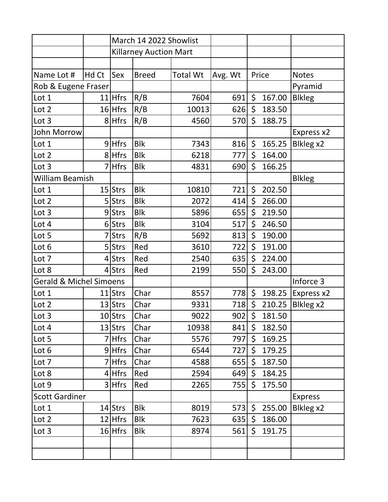|                                    |       |             | March 14 2022 Showlist        |                 |         |               |                |
|------------------------------------|-------|-------------|-------------------------------|-----------------|---------|---------------|----------------|
|                                    |       |             | <b>Killarney Auction Mart</b> |                 |         |               |                |
|                                    |       |             |                               |                 |         |               |                |
| Name Lot #                         | Hd Ct | Sex         | <b>Breed</b>                  | <b>Total Wt</b> | Avg. Wt | Price         | <b>Notes</b>   |
| Rob & Eugene Fraser                |       |             |                               |                 |         |               | Pyramid        |
| Lot 1                              |       | $11$ Hfrs   | R/B                           | 7604            | 691     | \$<br>167.00  | <b>Blkleg</b>  |
| Lot 2                              |       | $16$ Hfrs   | R/B                           | 10013           | 626     | \$<br>183.50  |                |
| Lot 3                              |       | 8 Hfrs      | R/B                           | 4560            | 570     | \$<br>188.75  |                |
| John Morrow                        |       |             |                               |                 |         |               | Express x2     |
| Lot 1                              |       | $9$ Hfrs    | <b>Blk</b>                    | 7343            | 816     | \$<br>165.25  | Blkleg x2      |
| Lot 2                              |       | 8 Hfrs      | <b>Blk</b>                    | 6218            | 777     | \$<br>164.00  |                |
| Lot 3                              |       | <b>Hfrs</b> | <b>Blk</b>                    | 4831            | 690     | \$<br>166.25  |                |
| William Beamish                    |       |             |                               |                 |         | <b>Blkleg</b> |                |
| Lot 1                              |       | $15$ Strs   | <b>Blk</b>                    | 10810           | 721     | \$<br>202.50  |                |
| Lot 2                              |       | 5 Strs      | <b>Blk</b>                    | 2072            | 414     | \$<br>266.00  |                |
| Lot 3                              |       | 9Strs       | <b>Blk</b>                    | 5896            | 655     | \$<br>219.50  |                |
| Lot 4                              |       | 6Strs       | <b>Blk</b>                    | 3104            | 517     | \$<br>246.50  |                |
| Lot 5                              |       | <b>Strs</b> | R/B                           | 5692            | 813     | \$<br>190.00  |                |
| Lot 6                              |       | 5 Strs      | Red                           | 3610            | 722     | \$<br>191.00  |                |
| Lot 7                              |       | 4Strs       | Red                           | 2540            | 635     | \$<br>224.00  |                |
| Lot 8                              |       | $4$ Strs    | Red                           | 2199            | 550     | \$<br>243.00  |                |
| <b>Gerald &amp; Michel Simoens</b> |       |             |                               |                 |         | Inforce 3     |                |
| Lot 1                              |       | 11 Strs     | Char                          | 8557            | 778     | \$<br>198.25  | Express x2     |
| Lot 2                              |       | $13$ Strs   | Char                          | 9331            | 718     | \$<br>210.25  | Blkleg x2      |
| Lot 3                              |       | $10$ Strs   | Char                          | 9022            | 902     | \$<br>181.50  |                |
| Lot 4                              |       | $13$ Strs   | Char                          | 10938           | 841     | \$<br>182.50  |                |
| Lot 5                              |       | 7 Hfrs      | Char                          | 5576            | 797     | \$<br>169.25  |                |
| Lot 6                              |       | $9$ Hfrs    | Char                          | 6544            | 727     | \$<br>179.25  |                |
| Lot 7                              |       | 7 Hfrs      | Char                          | 4588            | 655     | \$<br>187.50  |                |
| Lot 8                              |       | $4$ Hfrs    | Red                           | 2594            | 649     | \$<br>184.25  |                |
| Lot 9                              |       | 3 Hfrs      | Red                           | 2265            | 755     | \$<br>175.50  |                |
| <b>Scott Gardiner</b>              |       |             |                               |                 |         |               | <b>Express</b> |
| Lot 1                              |       | 14 Strs     | <b>Blk</b>                    | 8019            | 573     | \$<br>255.00  | Blkleg x2      |
| Lot 2                              |       | $12$ Hfrs   | <b>Blk</b>                    | 7623            | 635     | \$<br>186.00  |                |
| Lot 3                              |       | $16$ Hfrs   | <b>Blk</b>                    | 8974            | 561     | \$<br>191.75  |                |
|                                    |       |             |                               |                 |         |               |                |
|                                    |       |             |                               |                 |         |               |                |